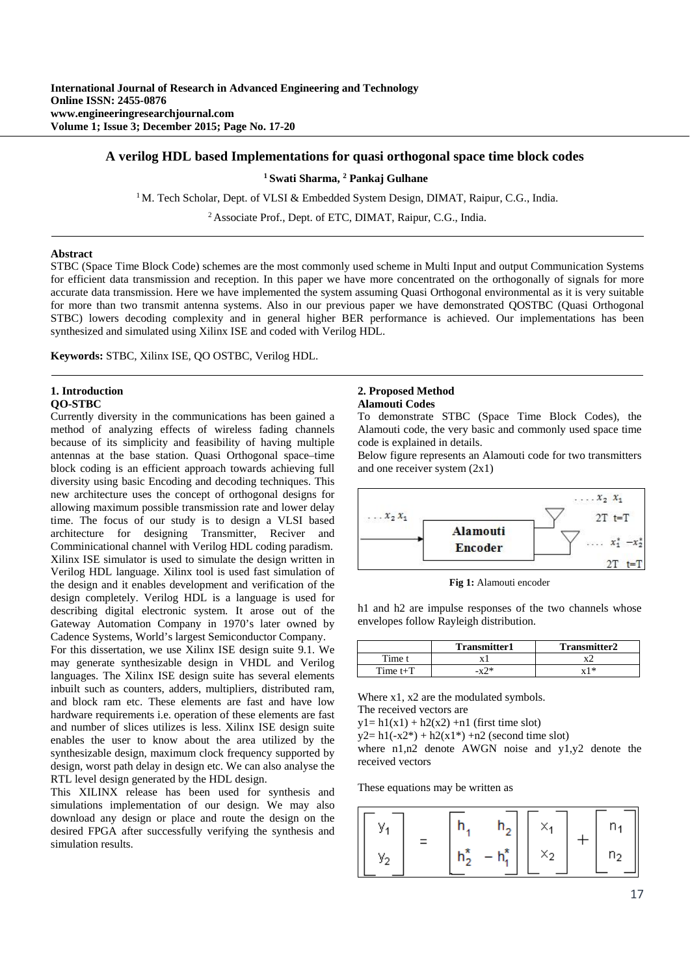## **A verilog HDL based Implementations for quasi orthogonal space time block codes**

#### **1 Swati Sharma, 2 Pankaj Gulhane**

<sup>1</sup> M. Tech Scholar, Dept. of VLSI & Embedded System Design, DIMAT, Raipur, C.G., India.

<sup>2</sup> Associate Prof., Dept. of ETC, DIMAT, Raipur, C.G., India.

#### **Abstract**

STBC (Space Time Block Code) schemes are the most commonly used scheme in Multi Input and output Communication Systems for efficient data transmission and reception. In this paper we have more concentrated on the orthogonally of signals for more accurate data transmission. Here we have implemented the system assuming Quasi Orthogonal environmental as it is very suitable for more than two transmit antenna systems. Also in our previous paper we have demonstrated QOSTBC (Quasi Orthogonal STBC) lowers decoding complexity and in general higher BER performance is achieved. Our implementations has been synthesized and simulated using Xilinx ISE and coded with Verilog HDL.

**Keywords:** STBC, Xilinx ISE, QO OSTBC, Verilog HDL.

#### **1. Introduction QO-STBC**

Currently diversity in the communications has been gained a method of analyzing effects of wireless fading channels because of its simplicity and feasibility of having multiple antennas at the base station. Quasi Orthogonal space–time block coding is an efficient approach towards achieving full diversity using basic Encoding and decoding techniques. This new architecture uses the concept of orthogonal designs for allowing maximum possible transmission rate and lower delay time. The focus of our study is to design a VLSI based architecture for designing Transmitter, Reciver and Comminicational channel with Verilog HDL coding paradism. Xilinx ISE simulator is used to simulate the design written in Verilog HDL language. Xilinx tool is used fast simulation of the design and it enables development and verification of the design completely. Verilog HDL is a language is used for describing digital electronic system. It arose out of the Gateway Automation Company in 1970's later owned by Cadence Systems, World's largest Semiconductor Company.

For this dissertation, we use Xilinx ISE design suite 9.1. We may generate synthesizable design in VHDL and Verilog languages. The Xilinx ISE design suite has several elements inbuilt such as counters, adders, multipliers, distributed ram, and block ram etc. These elements are fast and have low hardware requirements i.e. operation of these elements are fast and number of slices utilizes is less. Xilinx ISE design suite enables the user to know about the area utilized by the synthesizable design, maximum clock frequency supported by design, worst path delay in design etc. We can also analyse the RTL level design generated by the HDL design.

This XILINX release has been used for synthesis and simulations implementation of our design. We may also download any design or place and route the design on the desired FPGA after successfully verifying the synthesis and simulation results.

# **2. Proposed Method**

# **Alamouti Codes**

To demonstrate STBC (Space Time Block Codes), the Alamouti code, the very basic and commonly used space time code is explained in details.

Below figure represents an Alamouti code for two transmitters and one receiver system (2x1)



**Fig 1:** Alamouti encoder

h1 and h2 are impulse responses of the two channels whose envelopes follow Rayleigh distribution.

|            | <b>Transmitter1</b> | <b>Transmitter2</b>   |
|------------|---------------------|-----------------------|
| Time t     |                     | v                     |
| Time $t+T$ | . ∩ ж               | $\mathbf{v}$ 1 $\ast$ |

Where x1, x2 are the modulated symbols.

The received vectors are

 $y1 = h1(x1) + h2(x2) + n1$  (first time slot)

 $y2=h1(-x2*) + h2(x1*) + n2$  (second time slot)

where n1,n2 denote AWGN noise and y1,y2 denote the received vectors

These equations may be written as

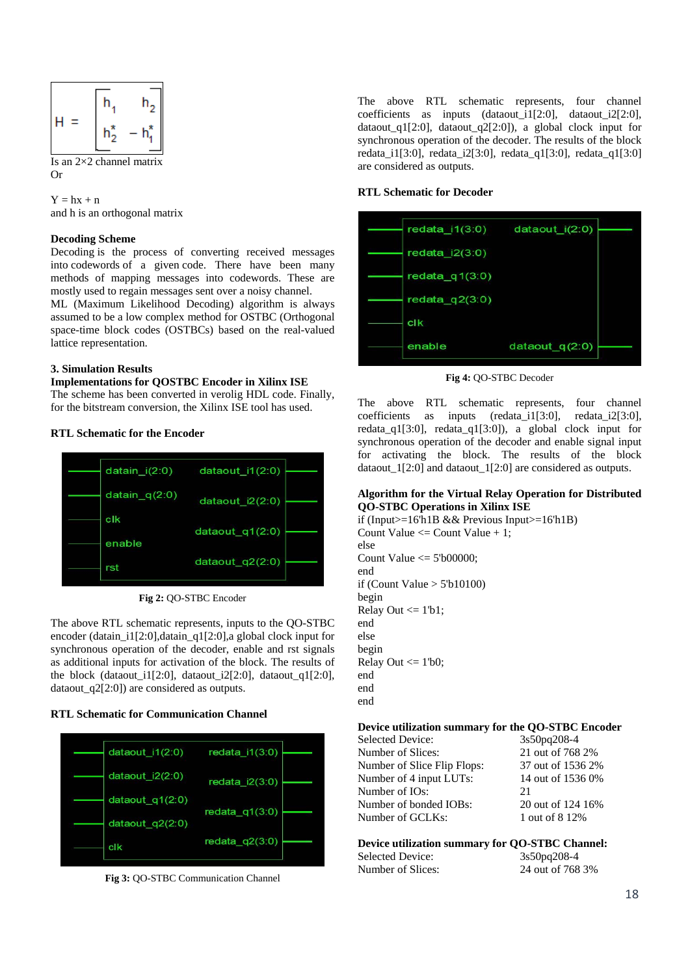

Is an  $2\times 2$  channel matrix Or

 $Y = hx + n$ and h is an orthogonal matrix

## **Decoding Scheme**

Decoding is the process of converting received messages into codewords of a given code. There have been many methods of mapping messages into codewords. These are mostly used to regain messages sent over a noisy channel.

ML (Maximum Likelihood Decoding) algorithm is always assumed to be a low complex method for OSTBC (Orthogonal space-time block codes (OSTBCs) based on the real-valued lattice representation.

#### **3. Simulation Results**

# **Implementations for QOSTBC Encoder in Xilinx ISE**

The scheme has been converted in verolig HDL code. Finally, for the bitstream conversion, the Xilinx ISE tool has used.

#### **RTL Schematic for the Encoder**



**Fig 2:** QO-STBC Encoder

The above RTL schematic represents, inputs to the QO-STBC encoder (datain i1[2:0],datain q1[2:0],a global clock input for synchronous operation of the decoder, enable and rst signals as additional inputs for activation of the block. The results of the block (dataout\_i1[2:0], dataout\_i2[2:0], dataout\_q1[2:0], dataout\_q2[2:0]) are considered as outputs.

#### **RTL Schematic for Communication Channel**



**Fig 3:** QO-STBC Communication Channel

The above RTL schematic represents, four channel coefficients as inputs (dataout  $i1[2:0]$ , dataout  $i2[2:0]$ , dataout\_q1[2:0], dataout\_q2[2:0]), a global clock input for synchronous operation of the decoder. The results of the block redata\_i1[3:0], redata\_i2[3:0], redata\_q1[3:0], redata\_q1[3:0] are considered as outputs.

## **RTL Schematic for Decoder**

| redata $i1(3:0)$ | dataout $i(2:0)$  |  |
|------------------|-------------------|--|
| redata $i2(3:0)$ |                   |  |
| redata $q1(3:0)$ |                   |  |
| redata $q2(3:0)$ |                   |  |
| clk              |                   |  |
| enable           | dataout_q $(2:0)$ |  |

**Fig 4:** QO-STBC Decoder

The above RTL schematic represents, four channel coefficients as inputs (redata\_i1[3:0], redata\_i2[3:0], redata\_q1[3:0], redata\_q1[3:0]), a global clock input for synchronous operation of the decoder and enable signal input for activating the block. The results of the block dataout  $1[2:0]$  and dataout  $1[2:0]$  are considered as outputs.

#### **Algorithm for the Virtual Relay Operation for Distributed QO-STBC Operations in Xilinx ISE**

if (Input $>=16$ 'h1B && Previous Input $>=16$ 'h1B) Count Value  $\leq$  Count Value + 1; else Count Value  $\leq$  5'b00000: end if (Count Value  $> 5$ 'b10100) begin Relay Out  $\leq 1'b1;$ end else begin Relay Out  $\leq 1^{\prime}$ b0; end end end

# **Device utilization summary for the QO-STBC Encoder**

Selected Device: 3s50pq208-4 Number of Slices: 21 out of 768 2% Number of Slice Flip Flops: 37 out of 1536 2%<br>Number of 4 input LUTs: 14 out of 1536 0% Number of 4 input LUTs: Number of IOs: 21<br>Number of bonded IOBs: 20 out of 124 16% Number of bonded IOBs: Number of GCLKs: 1 out of 8 12%

# **Device utilization summary for QO-STBC Channel:**

Selected Device: 3s50pq208-4<br>Number of Slices: 24 out of 768

24 out of 768 3%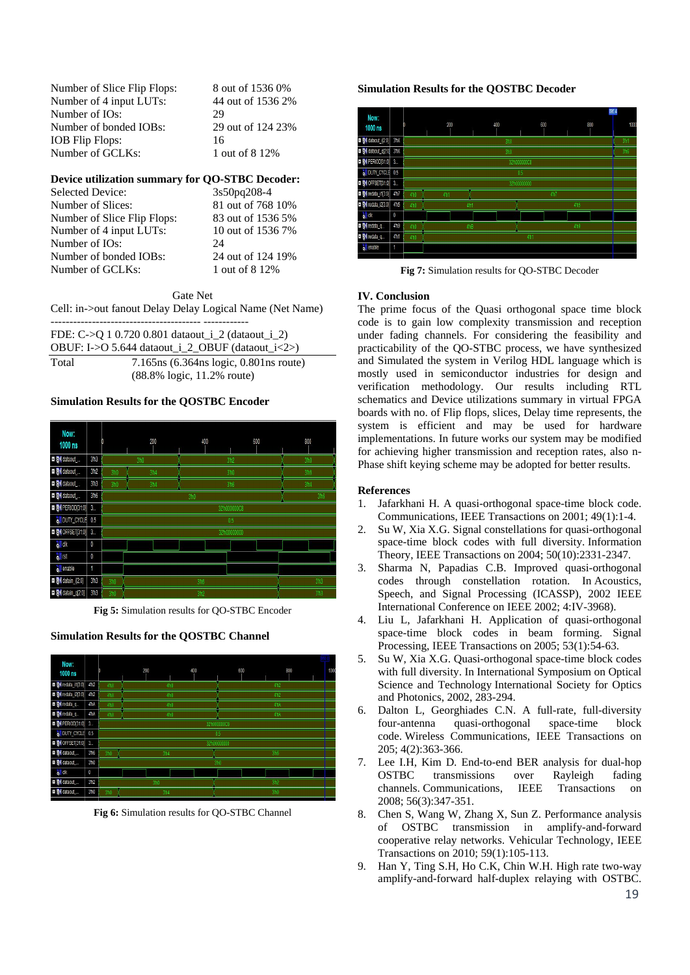| Number of Slice Flip Flops: | 8 out of 1536 0%  |
|-----------------------------|-------------------|
| Number of 4 input LUTs:     | 44 out of 1536 2% |
| Number of IO <sub>s</sub> : | 29                |
| Number of bonded IOBs:      | 29 out of 124 23% |
| IOB Flip Flops:             | 16                |
| Number of GCLKs:            | 1 out of 8 12\%   |

#### **Device utilization summary for QO-STBC Decoder:**

| Selected Device:            | 3s50pq208-4       |
|-----------------------------|-------------------|
| Number of Slices:           | 81 out of 768 10% |
| Number of Slice Flip Flops: | 83 out of 1536 5% |
| Number of 4 input LUTs:     | 10 out of 1536 7% |
| Number of IO <sub>s</sub> : | 24                |
| Number of bonded IOBs:      | 24 out of 124 19% |
| Number of GCLKs:            | 1 out of 8 12\%   |

Gate Net Cell: in->out fanout Delay Delay Logical Name (Net Name)

|                                                  | FDE: C->Q 1 0.720 0.801 dataout_i_2 (dataout_i_2) |
|--------------------------------------------------|---------------------------------------------------|
| OBUF: I->O 5.644 dataout_i_2_OBUF (dataout_i<2>) |                                                   |
| Total                                            | $7.165$ ns (6.364 ns logic, 0.801 ns route)       |
|                                                  | $(88.8\% \text{ logic}, 11.2\% \text{ route})$    |

#### **Simulation Results for the QOSTBC Encoder**



**Fig 5:** Simulation results for QO-STBC Encoder

#### **Simulation Results for the QOSTBC Channel**



**Fig 6:** Simulation results for QO-STBC Channel

## **Simulation Results for the QOSTBC Decoder**



**Fig 7:** Simulation results for QO-STBC Decoder

## **IV. Conclusion**

The prime focus of the Quasi orthogonal space time block code is to gain low complexity transmission and reception under fading channels. For considering the feasibility and practicability of the QO-STBC process, we have synthesized and Simulated the system in Verilog HDL language which is mostly used in semiconductor industries for design and verification methodology. Our results including RTL schematics and Device utilizations summary in virtual FPGA boards with no. of Flip flops, slices, Delay time represents, the system is efficient and may be used for hardware implementations. In future works our system may be modified for achieving higher transmission and reception rates, also n-Phase shift keying scheme may be adopted for better results.

## **References**

- 1. Jafarkhani H. A quasi-orthogonal space-time block code. Communications, IEEE Transactions on 2001; 49(1):1-4.
- 2. Su W, Xia X.G. Signal constellations for quasi-orthogonal space-time block codes with full diversity. Information Theory, IEEE Transactions on 2004; 50(10):2331-2347.
- 3. Sharma N, Papadias C.B. Improved quasi-orthogonal codes through constellation rotation. In Acoustics, Speech, and Signal Processing (ICASSP), 2002 IEEE International Conference on IEEE 2002; 4:IV-3968).
- 4. Liu L, Jafarkhani H. Application of quasi-orthogonal space-time block codes in beam forming. Signal Processing, IEEE Transactions on 2005; 53(1):54-63.
- 5. Su W, Xia X.G. Quasi-orthogonal space-time block codes with full diversity. In International Symposium on Optical Science and Technology International Society for Optics and Photonics, 2002, 283-294.
- 6. Dalton L, Georghiades C.N. A full-rate, full-diversity four-antenna quasi-orthogonal space-time block code. Wireless Communications, IEEE Transactions on 205; 4(2):363-366.
- 7. Lee I.H, Kim D. End-to-end BER analysis for dual-hop OSTBC transmissions over Rayleigh fading channels. Communications, IEEE Transactions on 2008; 56(3):347-351.
- 8. Chen S, Wang W, Zhang X, Sun Z. Performance analysis of OSTBC transmission in amplify-and-forward cooperative relay networks. Vehicular Technology, IEEE Transactions on 2010; 59(1):105-113.
- 9. Han Y, Ting S.H, Ho C.K, Chin W.H. High rate two-way amplify-and-forward half-duplex relaying with OSTBC.